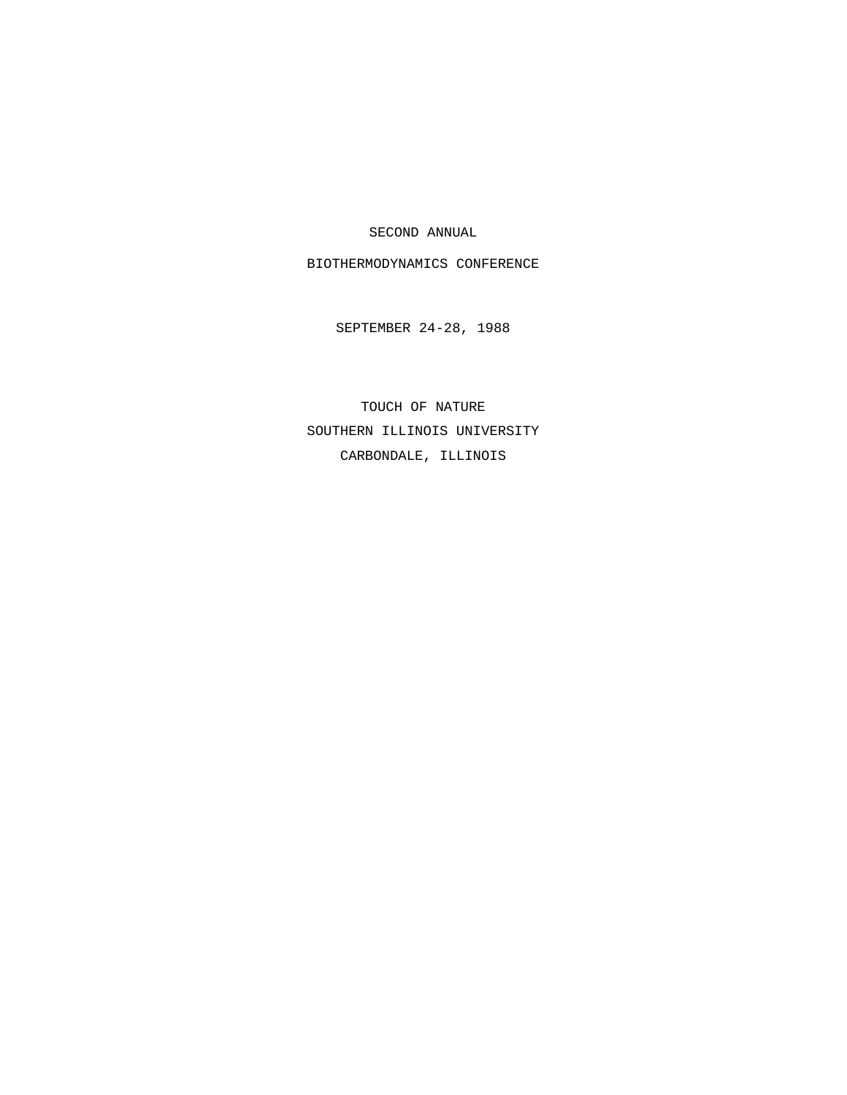SECOND ANNUAL

BIOTHERMODYNAMICS CONFERENCE

SEPTEMBER 24-28, 1988

TOUCH OF NATURE SOUTHERN ILLINOIS UNIVERSITY CARBONDALE, ILLINOIS